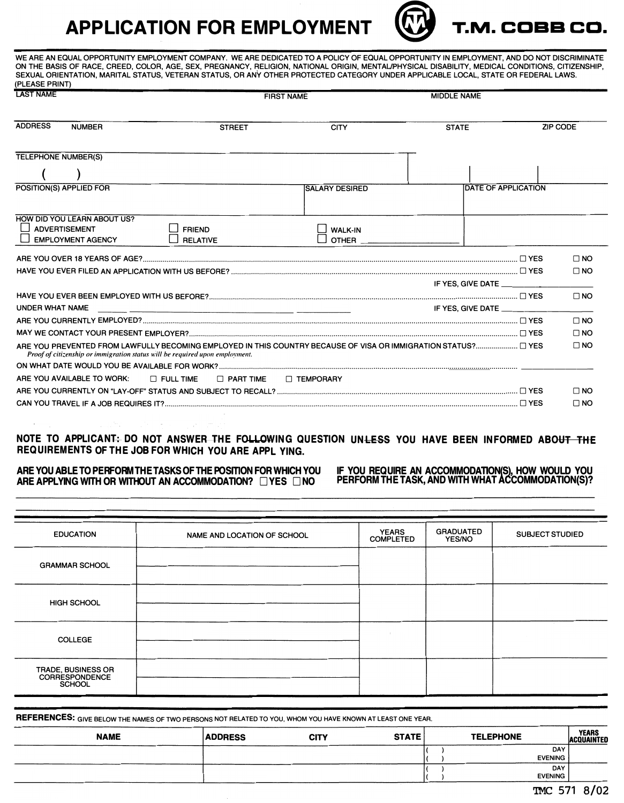## **APPLICATION FOR EMPLOYMENT T.M. COBB CD.**



**WE ARE AN EQUAL OPPORTUNITY EMPLOYMENT COMPANY. WE ARE DEDICATED TO A POLICY OF EQUAL OPPORTUNITY IN EMPLOYMENT, AND DO NOT DISCRIMINATE ON THE BASIS OF RACE, CREED, COLOR, AGE, SEX, PREGNANCY, RELIGION, NATIONAL ORIGIN, MENTAL/PHYSICAL DISABILITY, MEDICAL CONDITIONS, CITIZENSHIP, SEXUAL ORIENTATION, MARITAL STATUS, VETERAN STATUS, OR ANY OTHER PROTECTED CATEGORY UNDER APPLICABLE LOCAL, STATE OR FEDERAL LAWS. (PLEASE PRINT)** 

| <b>LAST NAME</b>                                                                |                                      | <b>FIRST NAME</b>     |                            |                 |
|---------------------------------------------------------------------------------|--------------------------------------|-----------------------|----------------------------|-----------------|
| <b>ADDRESS</b><br><b>NUMBER</b>                                                 | <b>STREET</b>                        | <b>CITY</b>           | <b>STATE</b>               | <b>ZIP CODE</b> |
| <b>TELEPHONE NUMBER(S)</b>                                                      |                                      |                       |                            |                 |
| POSITION(S) APPLIED FOR                                                         |                                      | <b>SALARY DESIRED</b> | <b>DATE OF APPLICATION</b> |                 |
| HOW DID YOU LEARN ABOUT US?<br><b>ADVERTISEMENT</b><br><b>EMPLOYMENT AGENCY</b> | <b>FRIEND</b><br><b>RELATIVE</b>     | <b>WALK-IN</b>        |                            |                 |
|                                                                                 |                                      |                       |                            | $\Box$ NO       |
|                                                                                 |                                      |                       |                            | $\Box$ NO       |
|                                                                                 |                                      |                       | IF YES, GIVE DATE          |                 |
| UNDER WHAT NAME                                                                 |                                      |                       | IF YES, GIVE DATE _______  | $\square$ NO    |
|                                                                                 |                                      |                       |                            | $\Box$ NO       |
|                                                                                 |                                      |                       |                            | $\Box$ NO       |
| Proof of citizenship or immigration status will be required upon employment.    |                                      |                       |                            | $\square$ NO    |
|                                                                                 |                                      |                       |                            |                 |
| ARE YOU AVAILABLE TO WORK:                                                      | $\Box$ FULL TIME<br>$\Box$ PART TIME | <b>T TEMPORARY</b>    |                            |                 |
|                                                                                 |                                      |                       |                            | $\Box$ NO       |
|                                                                                 |                                      |                       |                            | $\square$ NO    |

## **NOTE TO APPLICANT: DO NOT ANSWER THE FOLLOWING QUESTION UNLESS YOU HAVE BEEN INFORMED ABOUT THE REQUIREMENTS OF THE JOB FOR WHICH YOU ARE APPL YING.**

## ARE YOU ABLE TO PERFORM THE TASKS OF THE POSITION FOR WHICH YOU ARE APPLYING WITH OR WITHOUT AN ACCOMMODATION? DYES DNO

**IF YOU REQUIRE AN ACCOMMODATION(S), HOW WOULD YOU PERFORM THE TASK, AND WITH WHAT ACCOMMODATION(S)?** 

| <b>EDUCATION</b>                                             | NAME AND LOCATION OF SCHOOL | <b>YEARS</b><br><b>COMPLETED</b> | <b>GRADUATED</b><br><b>YES/NO</b> | <b>SUBJECT STUDIED</b> |
|--------------------------------------------------------------|-----------------------------|----------------------------------|-----------------------------------|------------------------|
| <b>GRAMMAR SCHOOL</b>                                        |                             |                                  |                                   |                        |
| <b>HIGH SCHOOL</b>                                           |                             |                                  |                                   |                        |
| <b>COLLEGE</b>                                               |                             |                                  |                                   |                        |
| TRADE, BUSINESS OR<br><b>CORRESPONDENCE</b><br><b>SCHOOL</b> |                             |                                  |                                   |                        |

| <b>REFERENCES:</b> GIVE BELOW THE NAMES OF TWO PERSONS NOT RELATED TO YOU, WHOM YOU HAVE KNOWN AT LEAST ONE YEAR. |                |      |              |  |                  |                                   |
|-------------------------------------------------------------------------------------------------------------------|----------------|------|--------------|--|------------------|-----------------------------------|
| <b>NAME</b>                                                                                                       | <b>ADDRESS</b> | CITY | <b>STATE</b> |  | <b>TELEPHONE</b> | <b>YEARS</b><br><b>ACQUAINTED</b> |
|                                                                                                                   |                |      |              |  | DAY              |                                   |
|                                                                                                                   |                |      |              |  | <b>EVENING</b>   |                                   |
|                                                                                                                   |                |      |              |  | DAY              |                                   |
|                                                                                                                   |                |      |              |  | <b>EVENING</b>   |                                   |
|                                                                                                                   |                |      |              |  |                  |                                   |